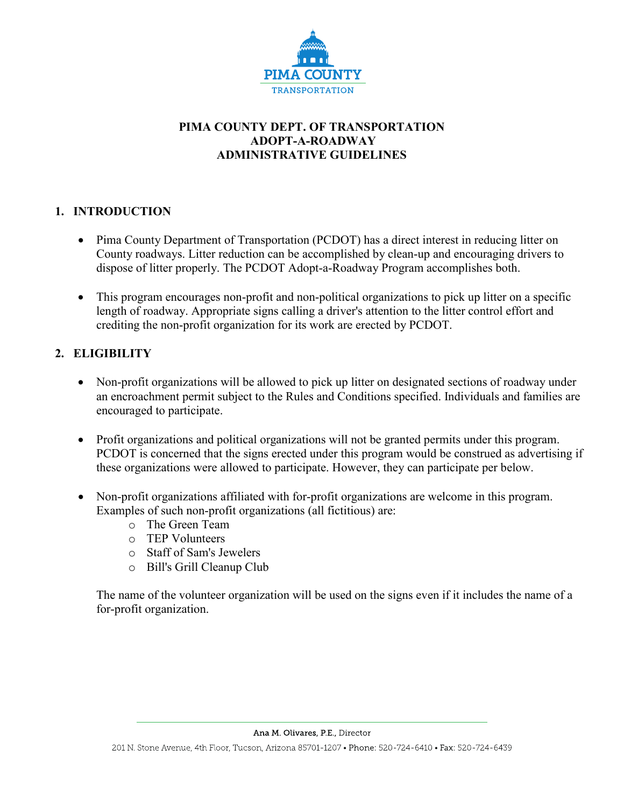

# **PIMA COUNTY DEPT. OF TRANSPORTATION ADOPT-A-ROADWAY ADMINISTRATIVE GUIDELINES**

## **1. INTRODUCTION**

- Pima County Department of Transportation (PCDOT) has a direct interest in reducing litter on County roadways. Litter reduction can be accomplished by clean-up and encouraging drivers to dispose of litter properly. The PCDOT Adopt-a-Roadway Program accomplishes both.
- This program encourages non-profit and non-political organizations to pick up litter on a specific length of roadway. Appropriate signs calling a driver's attention to the litter control effort and crediting the non-profit organization for its work are erected by PCDOT.

## **2. ELIGIBILITY**

- Non-profit organizations will be allowed to pick up litter on designated sections of roadway under an encroachment permit subject to the Rules and Conditions specified. Individuals and families are encouraged to participate.
- Profit organizations and political organizations will not be granted permits under this program. PCDOT is concerned that the signs erected under this program would be construed as advertising if these organizations were allowed to participate. However, they can participate per below.
- Non-profit organizations affiliated with for-profit organizations are welcome in this program. Examples of such non-profit organizations (all fictitious) are:
	- o The Green Team
	- o TEP Volunteers
	- o Staff of Sam's Jewelers
	- o Bill's Grill Cleanup Club

The name of the volunteer organization will be used on the signs even if it includes the name of a for-profit organization.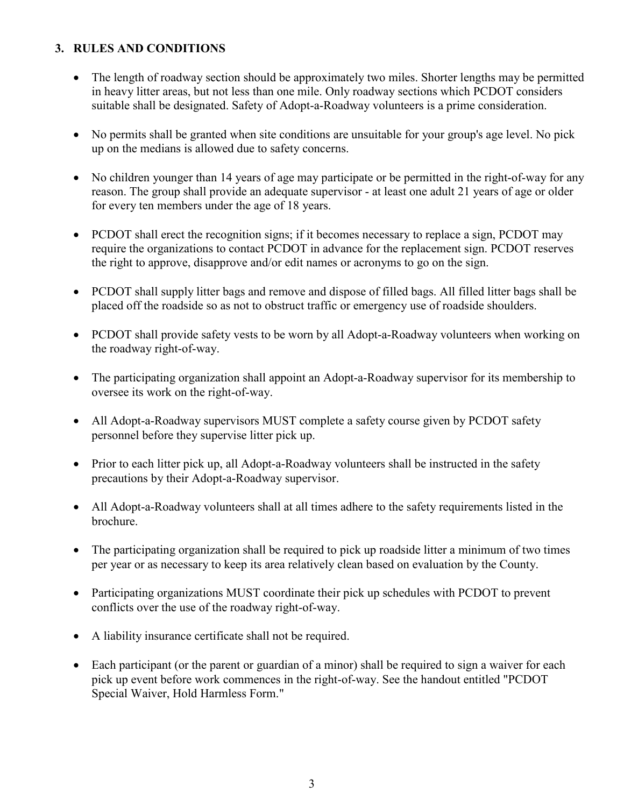#### **3. RULES AND CONDITIONS**

- The length of roadway section should be approximately two miles. Shorter lengths may be permitted in heavy litter areas, but not less than one mile. Only roadway sections which PCDOT considers suitable shall be designated. Safety of Adopt-a-Roadway volunteers is a prime consideration.
- No permits shall be granted when site conditions are unsuitable for your group's age level. No pick up on the medians is allowed due to safety concerns.
- No children younger than 14 years of age may participate or be permitted in the right-of-way for any reason. The group shall provide an adequate supervisor - at least one adult 21 years of age or older for every ten members under the age of 18 years.
- PCDOT shall erect the recognition signs; if it becomes necessary to replace a sign, PCDOT may require the organizations to contact PCDOT in advance for the replacement sign. PCDOT reserves the right to approve, disapprove and/or edit names or acronyms to go on the sign.
- PCDOT shall supply litter bags and remove and dispose of filled bags. All filled litter bags shall be placed off the roadside so as not to obstruct traffic or emergency use of roadside shoulders.
- PCDOT shall provide safety vests to be worn by all Adopt-a-Roadway volunteers when working on the roadway right-of-way.
- The participating organization shall appoint an Adopt-a-Roadway supervisor for its membership to oversee its work on the right-of-way.
- All Adopt-a-Roadway supervisors MUST complete a safety course given by PCDOT safety personnel before they supervise litter pick up.
- Prior to each litter pick up, all Adopt-a-Roadway volunteers shall be instructed in the safety precautions by their Adopt-a-Roadway supervisor.
- All Adopt-a-Roadway volunteers shall at all times adhere to the safety requirements listed in the brochure.
- The participating organization shall be required to pick up roadside litter a minimum of two times per year or as necessary to keep its area relatively clean based on evaluation by the County.
- Participating organizations MUST coordinate their pick up schedules with PCDOT to prevent conflicts over the use of the roadway right-of-way.
- A liability insurance certificate shall not be required.
- Each participant (or the parent or guardian of a minor) shall be required to sign a waiver for each pick up event before work commences in the right-of-way. See the handout entitled "PCDOT Special Waiver, Hold Harmless Form."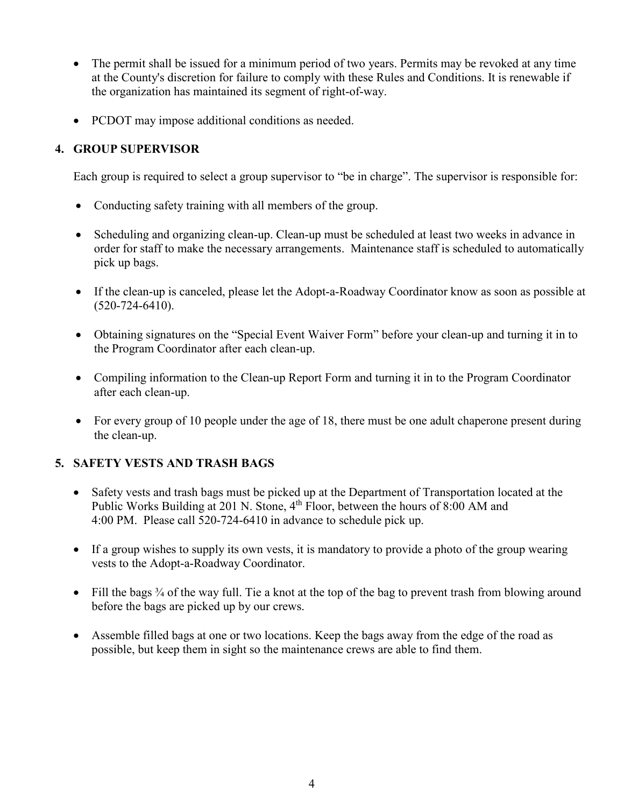- The permit shall be issued for a minimum period of two years. Permits may be revoked at any time at the County's discretion for failure to comply with these Rules and Conditions. It is renewable if the organization has maintained its segment of right-of-way.
- PCDOT may impose additional conditions as needed.

# **4. GROUP SUPERVISOR**

Each group is required to select a group supervisor to "be in charge". The supervisor is responsible for:

- Conducting safety training with all members of the group.
- Scheduling and organizing clean-up. Clean-up must be scheduled at least two weeks in advance in order for staff to make the necessary arrangements. Maintenance staff is scheduled to automatically pick up bags.
- If the clean-up is canceled, please let the Adopt-a-Roadway Coordinator know as soon as possible at (520-724-6410).
- Obtaining signatures on the "Special Event Waiver Form" before your clean-up and turning it in to the Program Coordinator after each clean-up.
- Compiling information to the Clean-up Report Form and turning it in to the Program Coordinator after each clean-up.
- For every group of 10 people under the age of 18, there must be one adult chaperone present during the clean-up.

## **5. SAFETY VESTS AND TRASH BAGS**

- Safety vests and trash bags must be picked up at the Department of Transportation located at the Public Works Building at 201 N. Stone, 4<sup>th</sup> Floor, between the hours of 8:00 AM and 4:00 PM. Please call 520-724-6410 in advance to schedule pick up.
- If a group wishes to supply its own vests, it is mandatory to provide a photo of the group wearing vests to the Adopt-a-Roadway Coordinator.
- Fill the bags  $\frac{3}{4}$  of the way full. Tie a knot at the top of the bag to prevent trash from blowing around before the bags are picked up by our crews.
- Assemble filled bags at one or two locations. Keep the bags away from the edge of the road as possible, but keep them in sight so the maintenance crews are able to find them.